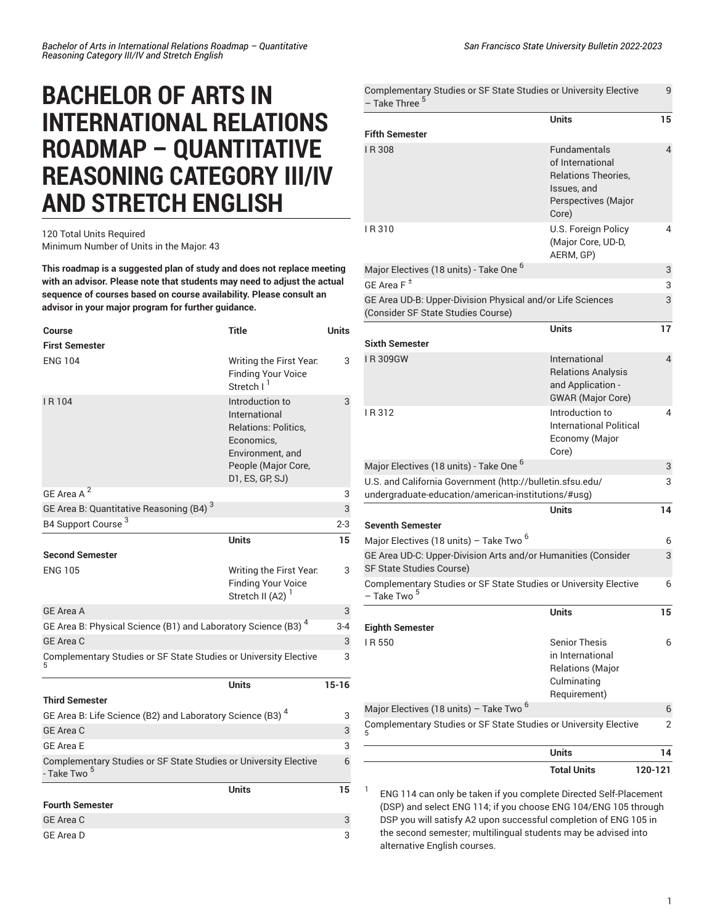## **BACHELOR OF ARTS IN INTERNATIONAL RELATIONS ROADMAP – QUANTITATIVE REASONING CATEGORY III/IV AND STRETCH ENGLISH**

## 120 Total Units Required Minimum Number of Units in the Major: 43

**This roadmap is a suggested plan of study and does not replace meeting with an advisor. Please note that students may need to adjust the actual sequence of courses based on course availability. Please consult an advisor in your major program for further guidance.**

| <b>Course</b>                                                                               | <b>Title</b>                                                                                                                                | <b>Units</b> |
|---------------------------------------------------------------------------------------------|---------------------------------------------------------------------------------------------------------------------------------------------|--------------|
| <b>First Semester</b>                                                                       |                                                                                                                                             |              |
| <b>ENG 104</b>                                                                              | Writing the First Year.<br><b>Finding Your Voice</b><br>Stretch I <sup>1</sup>                                                              | 3            |
| IR <sub>104</sub>                                                                           | Introduction to<br>International<br><b>Relations: Politics.</b><br>Economics,<br>Environment, and<br>People (Major Core,<br>D1, ES, GP, SJ) | 3            |
| 2<br><b>GF Area A</b>                                                                       |                                                                                                                                             | 3            |
| GE Area B: Quantitative Reasoning (B4) <sup>3</sup>                                         |                                                                                                                                             | 3            |
| B4 Support Course <sup>3</sup>                                                              |                                                                                                                                             | $2 - 3$      |
|                                                                                             | <b>Units</b>                                                                                                                                | 15           |
| <b>Second Semester</b>                                                                      |                                                                                                                                             |              |
| <b>ENG 105</b>                                                                              | Writing the First Year.<br><b>Finding Your Voice</b><br>Stretch II (A2) <sup>1</sup>                                                        | 3            |
| <b>GE Area A</b>                                                                            |                                                                                                                                             | 3            |
| GE Area B: Physical Science (B1) and Laboratory Science (B3) <sup>4</sup>                   |                                                                                                                                             | $3 - 4$      |
| GE Area C                                                                                   |                                                                                                                                             | 3            |
| Complementary Studies or SF State Studies or University Elective                            |                                                                                                                                             | 3            |
|                                                                                             | <b>Units</b>                                                                                                                                | $15 - 16$    |
| <b>Third Semester</b>                                                                       |                                                                                                                                             |              |
| GE Area B: Life Science (B2) and Laboratory Science (B3) <sup>4</sup>                       |                                                                                                                                             | 3            |
| <b>GE Area C</b>                                                                            |                                                                                                                                             | 3            |
| <b>GE Area E</b>                                                                            |                                                                                                                                             | 3            |
| Complementary Studies or SF State Studies or University Elective<br>- Take Two <sup>5</sup> |                                                                                                                                             | 6            |
|                                                                                             | <b>Units</b>                                                                                                                                | 15           |
| <b>Fourth Semester</b>                                                                      |                                                                                                                                             |              |
| <b>GE Area C</b>                                                                            |                                                                                                                                             | 3            |
| <b>GE Area D</b>                                                                            |                                                                                                                                             | 3            |

| Complementary Studies or SF State Studies or University Elective<br>- Take Three <sup>5</sup>                    | <b>Units</b>                                                                                                         | 9<br>15 |
|------------------------------------------------------------------------------------------------------------------|----------------------------------------------------------------------------------------------------------------------|---------|
| <b>Fifth Semester</b>                                                                                            |                                                                                                                      |         |
| I R 308                                                                                                          | <b>Fundamentals</b><br>of International<br><b>Relations Theories,</b><br>Issues, and<br>Perspectives (Major<br>Core) | 4       |
| IR310                                                                                                            | U.S. Foreign Policy<br>(Major Core, UD-D,<br>AERM, GP)                                                               | 4       |
| Major Electives (18 units) - Take One <sup>6</sup>                                                               |                                                                                                                      | 3       |
| GE Area F $^{\pm}$                                                                                               |                                                                                                                      | 3       |
| GE Area UD-B: Upper-Division Physical and/or Life Sciences<br>(Consider SF State Studies Course)                 |                                                                                                                      | 3       |
|                                                                                                                  | <b>Units</b>                                                                                                         | 17      |
| <b>Sixth Semester</b>                                                                                            |                                                                                                                      |         |
| IR309GW                                                                                                          | International<br><b>Relations Analysis</b><br>and Application -<br><b>GWAR</b> (Major Core)                          | 4       |
| IR312                                                                                                            | Introduction to<br>International Political<br>Economy (Major<br>Core)                                                | 4       |
| Major Electives (18 units) - Take One <sup>6</sup>                                                               |                                                                                                                      | 3       |
| U.S. and California Government (http://bulletin.sfsu.edu/<br>undergraduate-education/american-institutions/#usg) |                                                                                                                      | 3       |
|                                                                                                                  | Units                                                                                                                | 14      |
| <b>Seventh Semester</b>                                                                                          |                                                                                                                      |         |
| Major Electives (18 units) – Take Two <sup>6</sup>                                                               |                                                                                                                      | 6       |
| GE Area UD-C: Upper-Division Arts and/or Humanities (Consider<br><b>SF State Studies Course)</b>                 |                                                                                                                      | 3       |
| Complementary Studies or SF State Studies or University Elective<br>- Take Two <sup>5</sup>                      |                                                                                                                      | 6       |
|                                                                                                                  | <b>Units</b>                                                                                                         | 15      |
| <b>Eighth Semester</b>                                                                                           |                                                                                                                      |         |
| IR 550                                                                                                           | <b>Senior Thesis</b><br>in International<br>Relations (Major<br>Culminating<br>Requirement)                          | 6       |
| Major Electives (18 units) – Take Two <sup>6</sup>                                                               |                                                                                                                      | 6       |
| Complementary Studies or SF State Studies or University Elective                                                 |                                                                                                                      | 2       |
|                                                                                                                  | <b>Units</b>                                                                                                         | 14      |
|                                                                                                                  | <b>Total Units</b>                                                                                                   | 120-121 |

ENG 114 can only be taken if you complete Directed Self-Placement (DSP) and select ENG 114; if you choose ENG 104/ENG 105 through DSP you will satisfy A2 upon successful completion of ENG 105 in the second semester; multilingual students may be advised into alternative English courses.

1